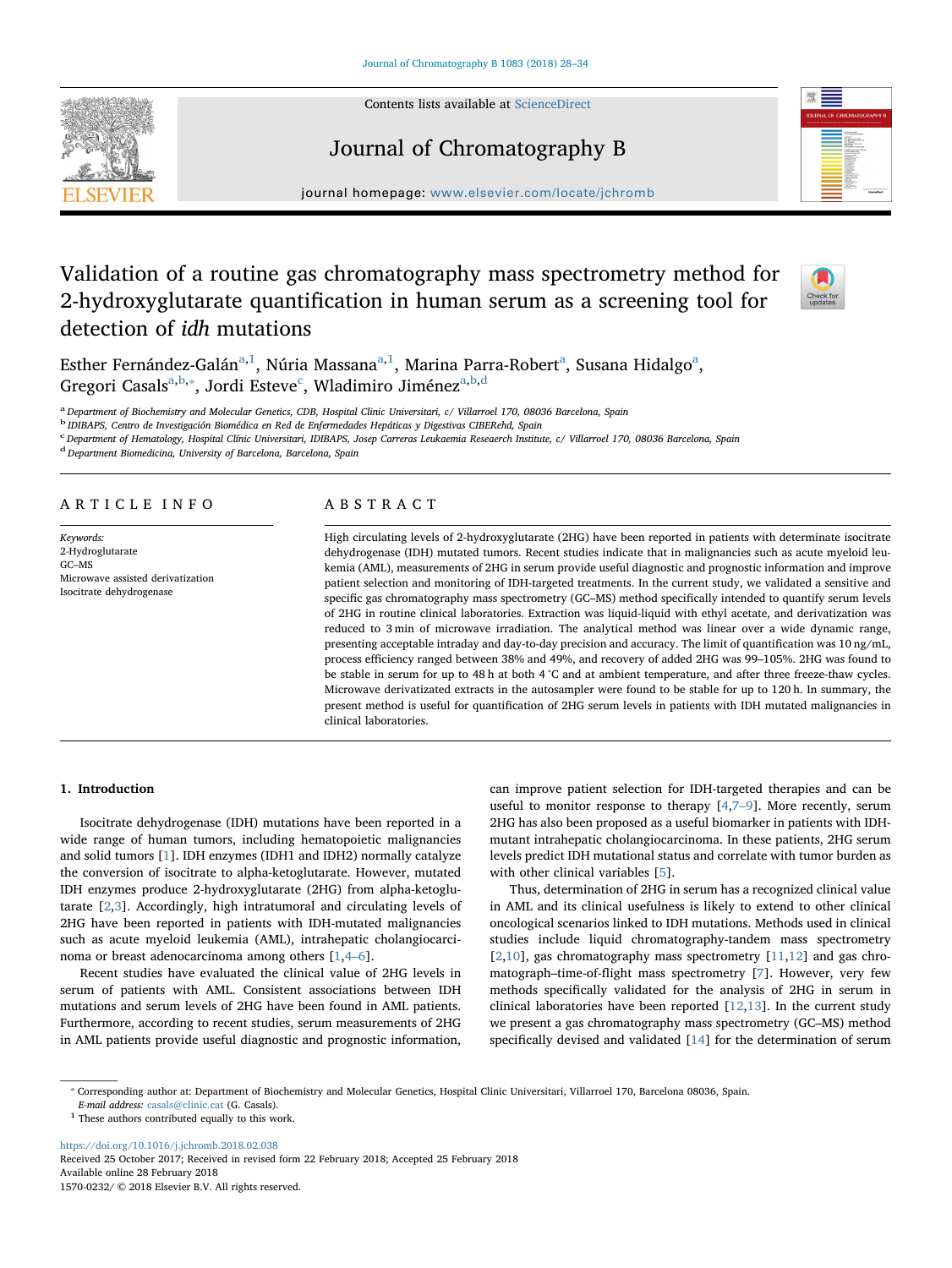Contents lists available at [ScienceDirect](http://www.sciencedirect.com/science/journal/15700232)





# Journal of Chromatography B

journal homepage: [www.elsevier.com/locate/jchromb](https://www.elsevier.com/locate/jchromb)

# Validation of a routine gas chromatography mass spectrometry method for 2-hydroxyglutarate quantification in human serum as a screening tool for detection of idh mutations



Esther Fernández-G[a](#page-0-0)lán $^{\mathrm{a},1}$  $^{\mathrm{a},1}$  $^{\mathrm{a},1}$ , Núria Massana $^{\mathrm{a},1}$  $^{\mathrm{a},1}$  $^{\mathrm{a},1}$ , Marina Parra-Robert $^{\mathrm{a}}$ , Susana Hidalgo $^{\mathrm{a}}$ , Gregori C[a](#page-0-0)sals<sup>a,[b,](#page-0-2)\*</sup>, Jordi Esteve<sup>[c](#page-0-4)</sup>, Wladimiro Jiménez<sup>a[,b,](#page-0-2)[d](#page-0-5)</sup>

<span id="page-0-0"></span>a Department of Biochemistry and Molecular Genetics, CDB, Hospital Clinic Universitari, c/ Villarroel 170, 08036 Barcelona, Spain

<span id="page-0-2"></span><sup>b</sup> IDIBAPS, Centro de Investigación Biomédica en Red de Enfermedades Hepáticas y Digestivas CIBERehd, Spain

<span id="page-0-4"></span>c Department of Hematology, Hospital Clínic Universitari, IDIBAPS, Josep Carreras Leukaemia Reseaerch Institute, c/ Villarroel 170, 08036 Barcelona, Spain

<span id="page-0-5"></span><sup>d</sup> Department Biomedicina, University of Barcelona, Barcelona, Spain

# ARTICLE INFO

Keywords: 2-Hydroglutarate GC–MS Microwave assisted derivatization Isocitrate dehydrogenase

# ABSTRACT

High circulating levels of 2-hydroxyglutarate (2HG) have been reported in patients with determinate isocitrate dehydrogenase (IDH) mutated tumors. Recent studies indicate that in malignancies such as acute myeloid leukemia (AML), measurements of 2HG in serum provide useful diagnostic and prognostic information and improve patient selection and monitoring of IDH-targeted treatments. In the current study, we validated a sensitive and specific gas chromatography mass spectrometry (GC–MS) method specifically intended to quantify serum levels of 2HG in routine clinical laboratories. Extraction was liquid-liquid with ethyl acetate, and derivatization was reduced to 3 min of microwave irradiation. The analytical method was linear over a wide dynamic range, presenting acceptable intraday and day-to-day precision and accuracy. The limit of quantification was 10 ng/mL, process efficiency ranged between 38% and 49%, and recovery of added 2HG was 99–105%. 2HG was found to be stable in serum for up to 48 h at both 4 °C and at ambient temperature, and after three freeze-thaw cycles. Microwave derivatizated extracts in the autosampler were found to be stable for up to 120 h. In summary, the present method is useful for quantification of 2HG serum levels in patients with IDH mutated malignancies in clinical laboratories.

# 1. Introduction

Isocitrate dehydrogenase (IDH) mutations have been reported in a wide range of human tumors, including hematopoietic malignancies and solid tumors [\[1\]](#page-5-0). IDH enzymes (IDH1 and IDH2) normally catalyze the conversion of isocitrate to alpha-ketoglutarate. However, mutated IDH enzymes produce 2-hydroxyglutarate (2HG) from alpha-ketoglutarate [[2](#page-5-1),[3](#page-5-2)]. Accordingly, high intratumoral and circulating levels of 2HG have been reported in patients with IDH-mutated malignancies such as acute myeloid leukemia (AML), intrahepatic cholangiocarcinoma or breast adenocarcinoma among others [\[1,](#page-5-0)4–[6\]](#page-5-3).

Recent studies have evaluated the clinical value of 2HG levels in serum of patients with AML. Consistent associations between IDH mutations and serum levels of 2HG have been found in AML patients. Furthermore, according to recent studies, serum measurements of 2HG in AML patients provide useful diagnostic and prognostic information,

can improve patient selection for IDH-targeted therapies and can be useful to monitor response to therapy [[4](#page-5-3)[,7](#page-6-0)–9]. More recently, serum 2HG has also been proposed as a useful biomarker in patients with IDHmutant intrahepatic cholangiocarcinoma. In these patients, 2HG serum levels predict IDH mutational status and correlate with tumor burden as with other clinical variables [\[5\]](#page-5-4).

Thus, determination of 2HG in serum has a recognized clinical value in AML and its clinical usefulness is likely to extend to other clinical oncological scenarios linked to IDH mutations. Methods used in clinical studies include liquid chromatography-tandem mass spectrometry  $[2,10]$  $[2,10]$  $[2,10]$  $[2,10]$ , gas chromatography mass spectrometry  $[11,12]$  $[11,12]$  $[11,12]$  and gas chromatograph–time-of-flight mass spectrometry [[7](#page-6-0)]. However, very few methods specifically validated for the analysis of 2HG in serum in clinical laboratories have been reported [\[12](#page-6-3),[13\]](#page-6-4). In the current study we present a gas chromatography mass spectrometry (GC–MS) method specifically devised and validated [\[14](#page-6-5)] for the determination of serum

<span id="page-0-3"></span>⁎ Corresponding author at: Department of Biochemistry and Molecular Genetics, Hospital Clinic Universitari, Villarroel 170, Barcelona 08036, Spain.

E-mail address: [casals@clinic.cat](mailto:casals@clinic.cat) (G. Casals).

<https://doi.org/10.1016/j.jchromb.2018.02.038> Received 25 October 2017; Received in revised form 22 February 2018; Accepted 25 February 2018 Available online 28 February 2018

1570-0232/ © 2018 Elsevier B.V. All rights reserved.

<span id="page-0-1"></span> $^{\rm 1}$  These authors contributed equally to this work.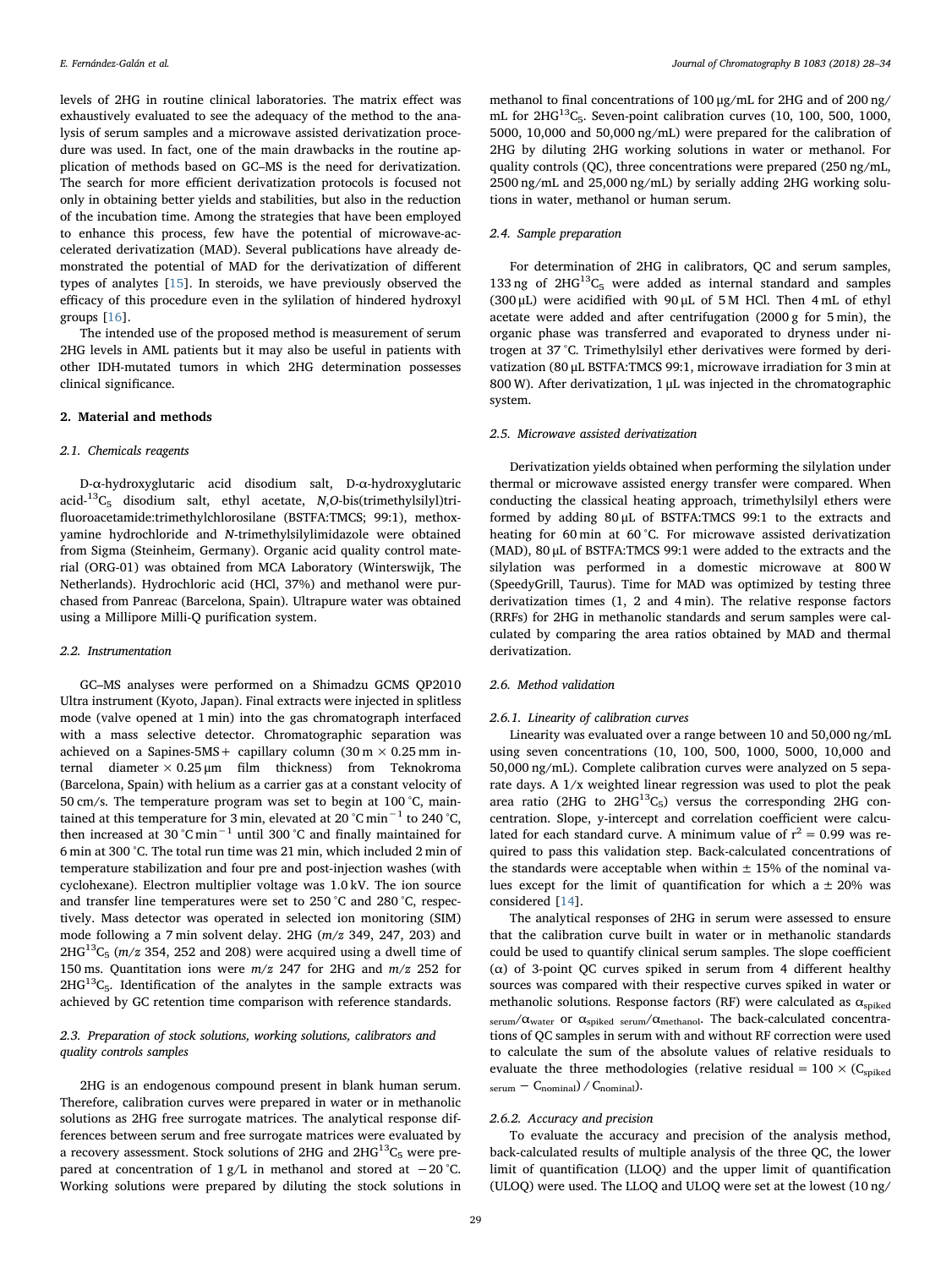levels of 2HG in routine clinical laboratories. The matrix effect was exhaustively evaluated to see the adequacy of the method to the analysis of serum samples and a microwave assisted derivatization procedure was used. In fact, one of the main drawbacks in the routine application of methods based on GC–MS is the need for derivatization. The search for more efficient derivatization protocols is focused not only in obtaining better yields and stabilities, but also in the reduction of the incubation time. Among the strategies that have been employed to enhance this process, few have the potential of microwave-accelerated derivatization (MAD). Several publications have already demonstrated the potential of MAD for the derivatization of different types of analytes [\[15](#page-6-6)]. In steroids, we have previously observed the efficacy of this procedure even in the sylilation of hindered hydroxyl groups [\[16](#page-6-7)].

The intended use of the proposed method is measurement of serum 2HG levels in AML patients but it may also be useful in patients with other IDH-mutated tumors in which 2HG determination possesses clinical significance.

#### 2. Material and methods

#### 2.1. Chemicals reagents

D-α-hydroxyglutaric acid disodium salt, D-α-hydroxyglutaric acid- ${}^{13}C_5$  disodium salt, ethyl acetate, N,O-bis(trimethylsilyl)trifluoroacetamide:trimethylchlorosilane (BSTFA:TMCS; 99:1), methoxyamine hydrochloride and N-trimethylsilylimidazole were obtained from Sigma (Steinheim, Germany). Organic acid quality control material (ORG-01) was obtained from MCA Laboratory (Winterswijk, The Netherlands). Hydrochloric acid (HCl, 37%) and methanol were purchased from Panreac (Barcelona, Spain). Ultrapure water was obtained using a Millipore Milli-Q purification system.

### 2.2. Instrumentation

GC–MS analyses were performed on a Shimadzu GCMS QP2010 Ultra instrument (Kyoto, Japan). Final extracts were injected in splitless mode (valve opened at 1 min) into the gas chromatograph interfaced with a mass selective detector. Chromatographic separation was achieved on a Sapines-5MS + capillary column (30 m  $\times$  0.25 mm internal diameter  $\times$  0.25  $\mu$ m film thickness) from Teknokroma (Barcelona, Spain) with helium as a carrier gas at a constant velocity of 50 cm/s. The temperature program was set to begin at 100 °C, maintained at this temperature for 3 min, elevated at 20  $^{\circ}\mathrm{C}\,\mathrm{min}^{-1}$  to 240  $^{\circ}\mathrm{C},$ then increased at 30 °C min−<sup>1</sup> until 300 °C and finally maintained for 6 min at 300 °C. The total run time was 21 min, which included 2 min of temperature stabilization and four pre and post-injection washes (with cyclohexane). Electron multiplier voltage was 1.0 kV. The ion source and transfer line temperatures were set to 250 °C and 280 °C, respectively. Mass detector was operated in selected ion monitoring (SIM) mode following a 7 min solvent delay. 2HG (m/z 349, 247, 203) and  $2HG^{13}C_5$  ( $m/z$  354, 252 and 208) were acquired using a dwell time of 150 ms. Quantitation ions were  $m/z$  247 for 2HG and  $m/z$  252 for  $2HG^{13}C_5$ . Identification of the analytes in the sample extracts was achieved by GC retention time comparison with reference standards.

# 2.3. Preparation of stock solutions, working solutions, calibrators and quality controls samples

2HG is an endogenous compound present in blank human serum. Therefore, calibration curves were prepared in water or in methanolic solutions as 2HG free surrogate matrices. The analytical response differences between serum and free surrogate matrices were evaluated by a recovery assessment. Stock solutions of 2HG and  $2HG^{13}C_5$  were prepared at concentration of 1 g/L in methanol and stored at  $-20$  °C. Working solutions were prepared by diluting the stock solutions in

methanol to final concentrations of 100 μg/mL for 2HG and of 200 ng/ mL for  $2HG^{13}C_5$ . Seven-point calibration curves (10, 100, 500, 1000, 5000, 10,000 and 50,000 ng/mL) were prepared for the calibration of 2HG by diluting 2HG working solutions in water or methanol. For quality controls (QC), three concentrations were prepared (250 ng/mL, 2500 ng/mL and 25,000 ng/mL) by serially adding 2HG working solutions in water, methanol or human serum.

# 2.4. Sample preparation

For determination of 2HG in calibrators, QC and serum samples, 133 ng of  $2HG^{13}C_5$  were added as internal standard and samples (300 μL) were acidified with 90 μL of 5 M HCl. Then 4 mL of ethyl acetate were added and after centrifugation (2000 g for 5 min), the organic phase was transferred and evaporated to dryness under nitrogen at 37 °C. Trimethylsilyl ether derivatives were formed by derivatization (80 μL BSTFA:TMCS 99:1, microwave irradiation for 3 min at 800 W). After derivatization, 1 μL was injected in the chromatographic system.

#### 2.5. Microwave assisted derivatization

Derivatization yields obtained when performing the silylation under thermal or microwave assisted energy transfer were compared. When conducting the classical heating approach, trimethylsilyl ethers were formed by adding 80 μL of BSTFA:TMCS 99:1 to the extracts and heating for 60 min at 60 °C. For microwave assisted derivatization (MAD), 80 μL of BSTFA:TMCS 99:1 were added to the extracts and the silylation was performed in a domestic microwave at 800 W (SpeedyGrill, Taurus). Time for MAD was optimized by testing three derivatization times (1, 2 and 4 min). The relative response factors (RRFs) for 2HG in methanolic standards and serum samples were calculated by comparing the area ratios obtained by MAD and thermal derivatization.

# 2.6. Method validation

## 2.6.1. Linearity of calibration curves

Linearity was evaluated over a range between 10 and 50,000 ng/mL using seven concentrations (10, 100, 500, 1000, 5000, 10,000 and 50,000 ng/mL). Complete calibration curves were analyzed on 5 separate days. A 1/x weighted linear regression was used to plot the peak area ratio (2HG to  $2HG^{13}C_5$ ) versus the corresponding 2HG concentration. Slope, y-intercept and correlation coefficient were calculated for each standard curve. A minimum value of  $r^2 = 0.99$  was required to pass this validation step. Back-calculated concentrations of the standards were acceptable when within  $\pm$  15% of the nominal values except for the limit of quantification for which  $a \pm 20\%$  was considered [[14\]](#page-6-5).

The analytical responses of 2HG in serum were assessed to ensure that the calibration curve built in water or in methanolic standards could be used to quantify clinical serum samples. The slope coefficient (α) of 3-point QC curves spiked in serum from 4 different healthy sources was compared with their respective curves spiked in water or methanolic solutions. Response factors (RF) were calculated as  $\alpha_{\rm{sniked}}$ serum/ $\alpha_{water}$  or  $\alpha_{spiked}$  serum/ $\alpha_{method}$ . The back-calculated concentrations of QC samples in serum with and without RF correction were used to calculate the sum of the absolute values of relative residuals to evaluate the three methodologies (relative residual =  $100 \times (C_{\text{sniked}})$ serum –  $C_{nominal}$ ) /  $C_{nominal}$ ).

# 2.6.2. Accuracy and precision

To evaluate the accuracy and precision of the analysis method, back-calculated results of multiple analysis of the three QC, the lower limit of quantification (LLOQ) and the upper limit of quantification (ULOQ) were used. The LLOQ and ULOQ were set at the lowest (10 ng/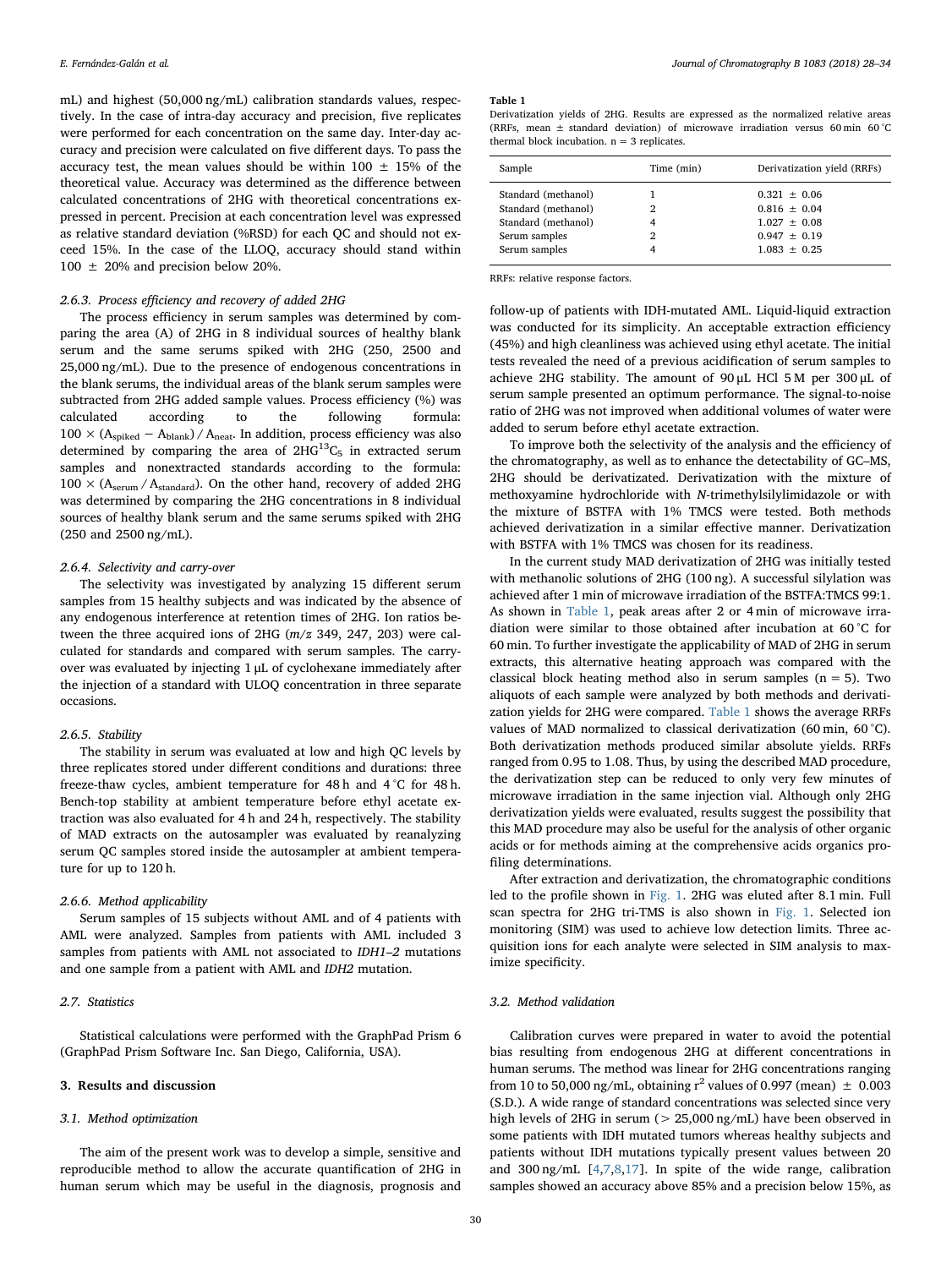mL) and highest (50,000 ng/mL) calibration standards values, respectively. In the case of intra-day accuracy and precision, five replicates were performed for each concentration on the same day. Inter-day accuracy and precision were calculated on five different days. To pass the accuracy test, the mean values should be within  $100 \pm 15\%$  of the theoretical value. Accuracy was determined as the difference between calculated concentrations of 2HG with theoretical concentrations expressed in percent. Precision at each concentration level was expressed as relative standard deviation (%RSD) for each QC and should not exceed 15%. In the case of the LLOQ, accuracy should stand within  $100 \pm 20\%$  and precision below 20%.

# 2.6.3. Process efficiency and recovery of added 2HG

The process efficiency in serum samples was determined by comparing the area (A) of 2HG in 8 individual sources of healthy blank serum and the same serums spiked with 2HG (250, 2500 and 25,000 ng/mL). Due to the presence of endogenous concentrations in the blank serums, the individual areas of the blank serum samples were subtracted from 2HG added sample values. Process efficiency (%) was calculated according to the following formula:  $100 \times (A_{\text{spiked}} - A_{\text{blank}})/A_{\text{neat}}$ . In addition, process efficiency was also determined by comparing the area of  $2HG^{13}C_5$  in extracted serum samples and nonextracted standards according to the formula:  $100 \times (A_{\text{serum}}/A_{\text{standard}})$ . On the other hand, recovery of added 2HG was determined by comparing the 2HG concentrations in 8 individual sources of healthy blank serum and the same serums spiked with 2HG (250 and 2500 ng/mL).

### 2.6.4. Selectivity and carry-over

The selectivity was investigated by analyzing 15 different serum samples from 15 healthy subjects and was indicated by the absence of any endogenous interference at retention times of 2HG. Ion ratios between the three acquired ions of 2HG (m/z 349, 247, 203) were calculated for standards and compared with serum samples. The carryover was evaluated by injecting 1 μL of cyclohexane immediately after the injection of a standard with ULOQ concentration in three separate occasions.

## 2.6.5. Stability

The stability in serum was evaluated at low and high QC levels by three replicates stored under different conditions and durations: three freeze-thaw cycles, ambient temperature for 48 h and 4 °C for 48 h. Bench-top stability at ambient temperature before ethyl acetate extraction was also evaluated for 4 h and 24 h, respectively. The stability of MAD extracts on the autosampler was evaluated by reanalyzing serum QC samples stored inside the autosampler at ambient temperature for up to 120 h.

#### 2.6.6. Method applicability

Serum samples of 15 subjects without AML and of 4 patients with AML were analyzed. Samples from patients with AML included 3 samples from patients with AML not associated to IDH1–2 mutations and one sample from a patient with AML and IDH2 mutation.

# 2.7. Statistics

Statistical calculations were performed with the GraphPad Prism 6 (GraphPad Prism Software Inc. San Diego, California, USA).

# 3. Results and discussion

#### 3.1. Method optimization

The aim of the present work was to develop a simple, sensitive and reproducible method to allow the accurate quantification of 2HG in human serum which may be useful in the diagnosis, prognosis and

#### <span id="page-2-0"></span>Table 1

Derivatization yields of 2HG. Results are expressed as the normalized relative areas (RRFs, mean ± standard deviation) of microwave irradiation versus 60 min 60 °C thermal block incubation.  $n = 3$  replicates.

| Sample                                                                                              | Time (min)       | Derivatization yield (RRFs)                                                              |
|-----------------------------------------------------------------------------------------------------|------------------|------------------------------------------------------------------------------------------|
| Standard (methanol)<br>Standard (methanol)<br>Standard (methanol)<br>Serum samples<br>Serum samples | 2<br>4<br>2<br>4 | $0.321 + 0.06$<br>$0.816 + 0.04$<br>$1.027 + 0.08$<br>$0.947 + 0.19$<br>$1.083 \pm 0.25$ |

RRFs: relative response factors.

follow-up of patients with IDH-mutated AML. Liquid-liquid extraction was conducted for its simplicity. An acceptable extraction efficiency (45%) and high cleanliness was achieved using ethyl acetate. The initial tests revealed the need of a previous acidification of serum samples to achieve 2HG stability. The amount of 90 μL HCl 5 M per 300 μL of serum sample presented an optimum performance. The signal-to-noise ratio of 2HG was not improved when additional volumes of water were added to serum before ethyl acetate extraction.

To improve both the selectivity of the analysis and the efficiency of the chromatography, as well as to enhance the detectability of GC–MS, 2HG should be derivatizated. Derivatization with the mixture of methoxyamine hydrochloride with N-trimethylsilylimidazole or with the mixture of BSTFA with 1% TMCS were tested. Both methods achieved derivatization in a similar effective manner. Derivatization with BSTFA with 1% TMCS was chosen for its readiness.

In the current study MAD derivatization of 2HG was initially tested with methanolic solutions of 2HG (100 ng). A successful silylation was achieved after 1 min of microwave irradiation of the BSTFA:TMCS 99:1. As shown in [Table 1,](#page-2-0) peak areas after 2 or 4 min of microwave irradiation were similar to those obtained after incubation at 60 °C for 60 min. To further investigate the applicability of MAD of 2HG in serum extracts, this alternative heating approach was compared with the classical block heating method also in serum samples  $(n = 5)$ . Two aliquots of each sample were analyzed by both methods and derivatization yields for 2HG were compared. [Table 1](#page-2-0) shows the average RRFs values of MAD normalized to classical derivatization (60 min, 60 °C). Both derivatization methods produced similar absolute yields. RRFs ranged from 0.95 to 1.08. Thus, by using the described MAD procedure, the derivatization step can be reduced to only very few minutes of microwave irradiation in the same injection vial. Although only 2HG derivatization yields were evaluated, results suggest the possibility that this MAD procedure may also be useful for the analysis of other organic acids or for methods aiming at the comprehensive acids organics profiling determinations.

After extraction and derivatization, the chromatographic conditions led to the profile shown in [Fig. 1](#page-3-0). 2HG was eluted after 8.1 min. Full scan spectra for 2HG tri-TMS is also shown in [Fig. 1.](#page-3-0) Selected ion monitoring (SIM) was used to achieve low detection limits. Three acquisition ions for each analyte were selected in SIM analysis to maximize specificity.

# 3.2. Method validation

Calibration curves were prepared in water to avoid the potential bias resulting from endogenous 2HG at different concentrations in human serums. The method was linear for 2HG concentrations ranging from 10 to 50,000 ng/mL, obtaining  $r^2$  values of 0.997 (mean)  $\pm$  0.003 (S.D.). A wide range of standard concentrations was selected since very high levels of 2HG in serum ( $> 25,000$  ng/mL) have been observed in some patients with IDH mutated tumors whereas healthy subjects and patients without IDH mutations typically present values between 20 and 300 ng/mL [\[4,](#page-5-3)[7](#page-6-0)[,8](#page-6-8)[,17](#page-6-9)]. In spite of the wide range, calibration samples showed an accuracy above 85% and a precision below 15%, as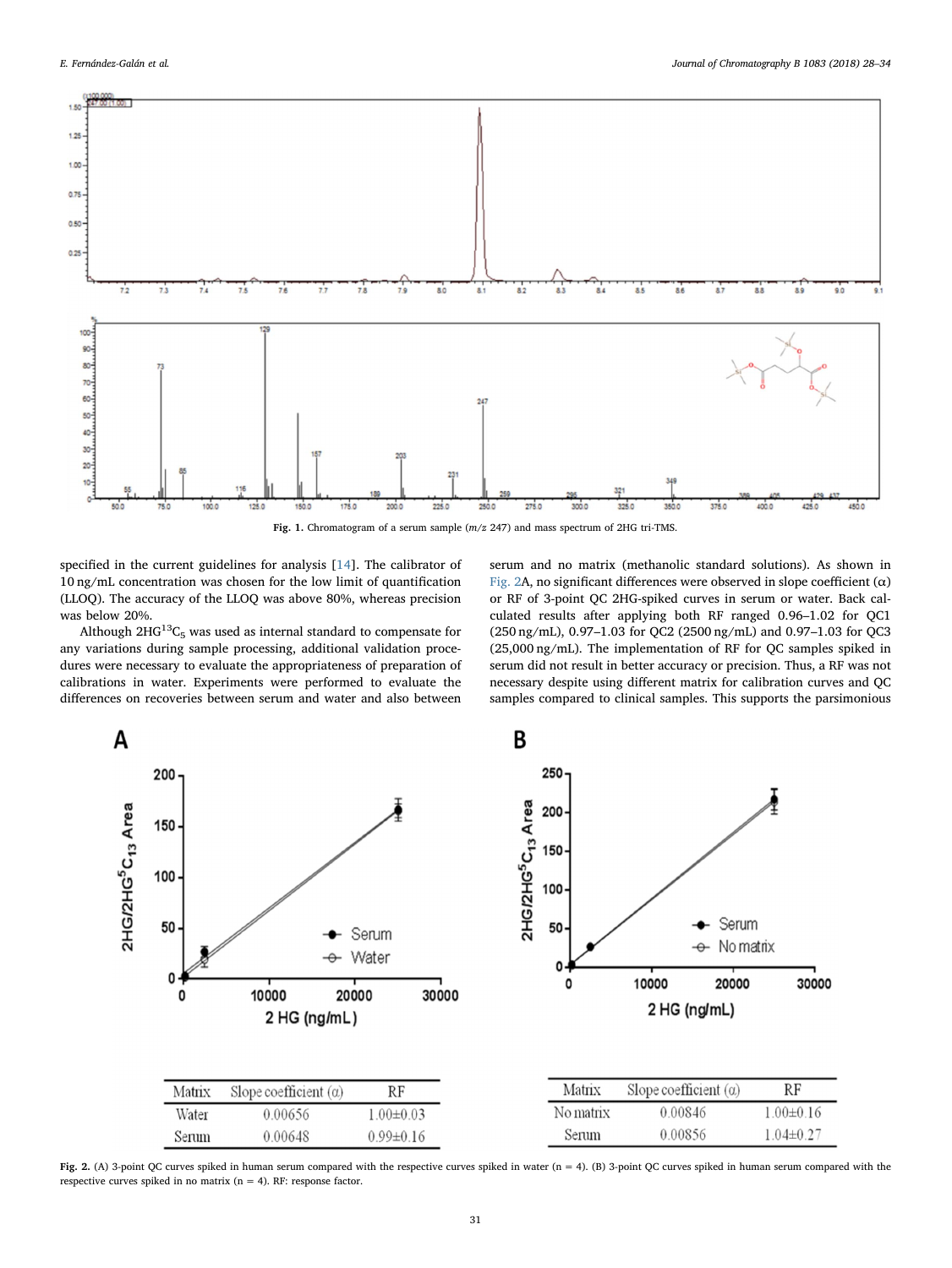<span id="page-3-0"></span>

specified in the current guidelines for analysis [[14\]](#page-6-5). The calibrator of 10 ng/mL concentration was chosen for the low limit of quantification (LLOQ). The accuracy of the LLOQ was above 80%, whereas precision was below 20%.

Although  $2HG^{13}C_5$  was used as internal standard to compensate for any variations during sample processing, additional validation procedures were necessary to evaluate the appropriateness of preparation of calibrations in water. Experiments were performed to evaluate the differences on recoveries between serum and water and also between serum and no matrix (methanolic standard solutions). As shown in [Fig. 2](#page-3-1)A, no significant differences were observed in slope coefficient  $(\alpha)$ or RF of 3-point QC 2HG-spiked curves in serum or water. Back calculated results after applying both RF ranged 0.96–1.02 for QC1 (250 ng/mL), 0.97–1.03 for QC2 (2500 ng/mL) and 0.97–1.03 for QC3 (25,000 ng/mL). The implementation of RF for QC samples spiked in serum did not result in better accuracy or precision. Thus, a RF was not necessary despite using different matrix for calibration curves and QC samples compared to clinical samples. This supports the parsimonious

<span id="page-3-1"></span>

Fig. 2. (A) 3-point QC curves spiked in human serum compared with the respective curves spiked in water (n = 4). (B) 3-point QC curves spiked in human serum compared with the respective curves spiked in no matrix ( $n = 4$ ). RF: response factor.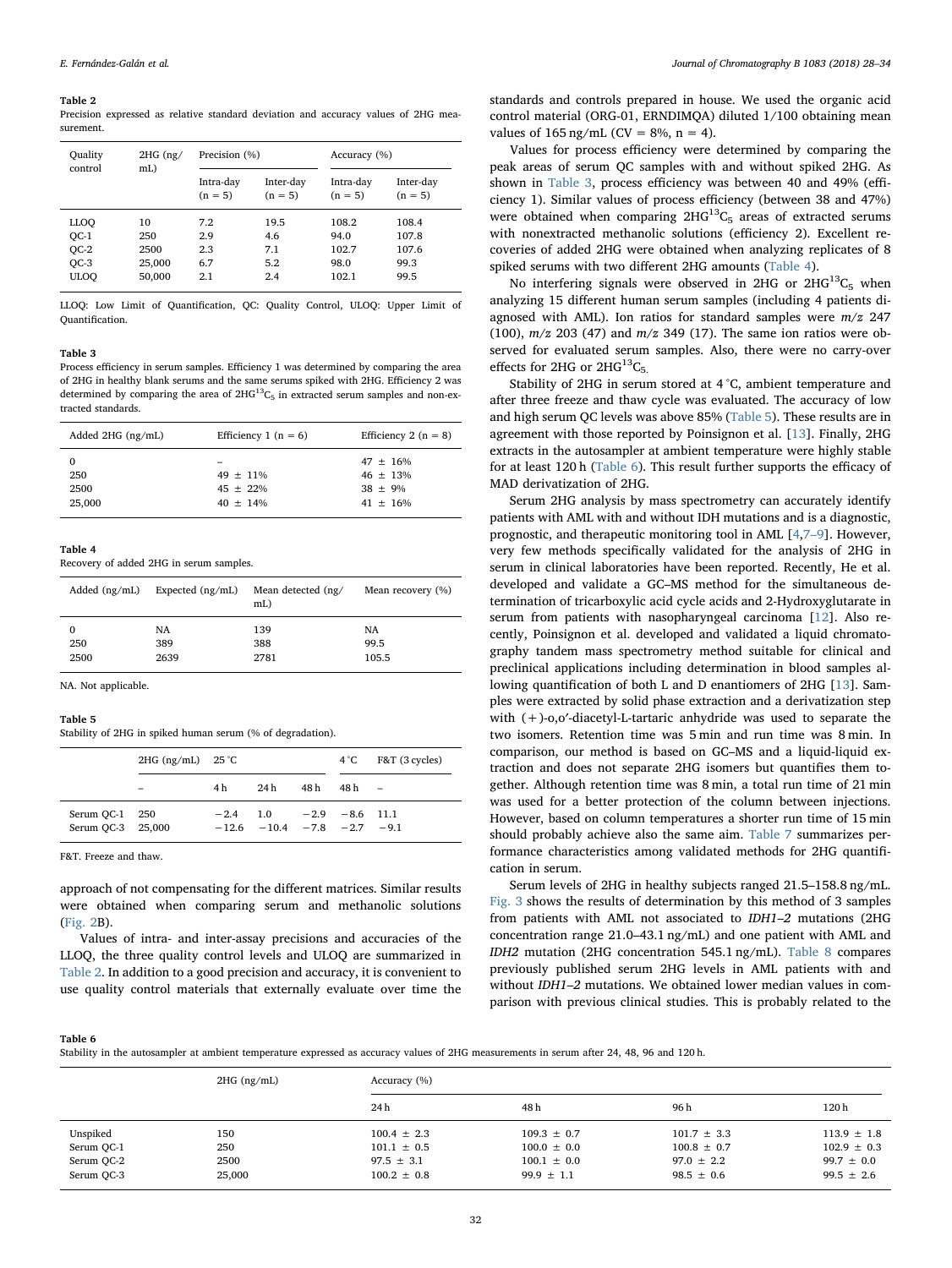#### <span id="page-4-0"></span>Table 2

Precision expressed as relative standard deviation and accuracy values of 2HG measurement.

| Ouality<br>control | 2HG (ng/<br>mL) | Precision (%)          |                        |                        | Accuracy (%)           |  |
|--------------------|-----------------|------------------------|------------------------|------------------------|------------------------|--|
|                    |                 | Intra-day<br>$(n = 5)$ | Inter-day<br>$(n = 5)$ | Intra-day<br>$(n = 5)$ | Inter-day<br>$(n = 5)$ |  |
| LLOO               | 10              | 7.2                    | 19.5                   | 108.2                  | 108.4                  |  |
| $OC-1$             | 250             | 2.9                    | 4.6                    | 94.0                   | 107.8                  |  |
| $OC-2$             | 2500            | 2.3                    | 7.1                    | 102.7                  | 107.6                  |  |
| $OC-3$             | 25,000          | 6.7                    | 5.2                    | 98.0                   | 99.3                   |  |
| <b>ULOO</b>        | 50,000          | 2.1                    | 2.4                    | 102.1                  | 99.5                   |  |

LLOQ: Low Limit of Quantification, QC: Quality Control, ULOQ: Upper Limit of Quantification.

#### <span id="page-4-1"></span>Table 3

Process efficiency in serum samples. Efficiency 1 was determined by comparing the area of 2HG in healthy blank serums and the same serums spiked with 2HG. Efficiency 2 was determined by comparing the area of  $2HG^{13}C_5$  in extracted serum samples and non-extracted standards.

| Added $2HG$ $(ng/mL)$      | Efficiency 1 ( $n = 6$ )                    | Efficiency 2 ( $n = 8$ )                                   |
|----------------------------|---------------------------------------------|------------------------------------------------------------|
| 0<br>250<br>2500<br>25,000 | $49 \pm 11\%$<br>$45 + 22\%$<br>$40 + 14\%$ | $47 \pm 16\%$<br>$46 \pm 13\%$<br>$38 + 9\%$<br>$41 + 16%$ |

#### <span id="page-4-2"></span>Table 4

Recovery of added 2HG in serum samples.

| Added $(ng/mL)$ | Expected $(ng/mL)$ | Mean detected (ng/<br>mL) | Mean recovery (%) |
|-----------------|--------------------|---------------------------|-------------------|
| 0               | NA                 | 139                       | NA                |
| 250             | 389                | 388                       | 99.5              |
| 2500            | 2639               | 2781                      | 105.5             |

NA. Not applicable.

#### <span id="page-4-3"></span>Table 5

Stability of 2HG in spiked human serum (% of degradation).

|                                     | $2HG \frac{(ng/mL)}{25°C}$ |        |                                             |      | $4^{\circ}$ C F&T (3 cycles) |  |
|-------------------------------------|----------------------------|--------|---------------------------------------------|------|------------------------------|--|
|                                     | $\overline{\phantom{0}}$   | 4 h    | 24 h                                        | 48 h | $48h -$                      |  |
| Serum QC-1 250<br>Serum OC-3 25,000 |                            | $-2.4$ | 1.0<br>$-12.6$ $-10.4$ $-7.8$ $-2.7$ $-9.1$ |      | $-2.9 - 8.6$ 11.1            |  |

F&T. Freeze and thaw.

approach of not compensating for the different matrices. Similar results were obtained when comparing serum and methanolic solutions ([Fig. 2B](#page-3-1)).

Values of intra- and inter-assay precisions and accuracies of the LLOQ, the three quality control levels and ULOQ are summarized in [Table 2.](#page-4-0) In addition to a good precision and accuracy, it is convenient to use quality control materials that externally evaluate over time the

standards and controls prepared in house. We used the organic acid control material (ORG-01, ERNDIMQA) diluted 1/100 obtaining mean values of  $165 \text{ ng/mL}$  (CV = 8%, n = 4).

Values for process efficiency were determined by comparing the peak areas of serum QC samples with and without spiked 2HG. As shown in [Table 3,](#page-4-1) process efficiency was between 40 and 49% (efficiency 1). Similar values of process efficiency (between 38 and 47%) were obtained when comparing  $2HG^{13}C_5$  areas of extracted serums with nonextracted methanolic solutions (efficiency 2). Excellent recoveries of added 2HG were obtained when analyzing replicates of 8 spiked serums with two different 2HG amounts [\(Table 4\)](#page-4-2).

No interfering signals were observed in 2HG or  $2HG^{13}C_5$  when analyzing 15 different human serum samples (including 4 patients diagnosed with AML). Ion ratios for standard samples were  $m/z$  247 (100),  $m/z$  203 (47) and  $m/z$  349 (17). The same ion ratios were observed for evaluated serum samples. Also, there were no carry-over effects for 2HG or  $2HG^{13}C_5$ .

Stability of 2HG in serum stored at 4 °C, ambient temperature and after three freeze and thaw cycle was evaluated. The accuracy of low and high serum QC levels was above 85% [\(Table 5](#page-4-3)). These results are in agreement with those reported by Poinsignon et al. [\[13](#page-6-4)]. Finally, 2HG extracts in the autosampler at ambient temperature were highly stable for at least 120 h ([Table 6](#page-4-4)). This result further supports the efficacy of MAD derivatization of 2HG.

Serum 2HG analysis by mass spectrometry can accurately identify patients with AML with and without IDH mutations and is a diagnostic, prognostic, and therapeutic monitoring tool in AML [\[4,](#page-5-3)7–[9\]](#page-6-0). However, very few methods specifically validated for the analysis of 2HG in serum in clinical laboratories have been reported. Recently, He et al. developed and validate a GC–MS method for the simultaneous determination of tricarboxylic acid cycle acids and 2-Hydroxyglutarate in serum from patients with nasopharyngeal carcinoma [[12\]](#page-6-3). Also recently, Poinsignon et al. developed and validated a liquid chromatography tandem mass spectrometry method suitable for clinical and preclinical applications including determination in blood samples allowing quantification of both L and D enantiomers of 2HG [[13\]](#page-6-4). Samples were extracted by solid phase extraction and a derivatization step with (+)-o,o′-diacetyl-L-tartaric anhydride was used to separate the two isomers. Retention time was 5 min and run time was 8 min. In comparison, our method is based on GC–MS and a liquid-liquid extraction and does not separate 2HG isomers but quantifies them together. Although retention time was 8 min, a total run time of 21 min was used for a better protection of the column between injections. However, based on column temperatures a shorter run time of 15 min should probably achieve also the same aim. [Table 7](#page-5-5) summarizes performance characteristics among validated methods for 2HG quantification in serum.

Serum levels of 2HG in healthy subjects ranged 21.5–158.8 ng/mL. [Fig. 3](#page-5-6) shows the results of determination by this method of 3 samples from patients with AML not associated to IDH1–2 mutations (2HG concentration range 21.0–43.1 ng/mL) and one patient with AML and IDH2 mutation (2HG concentration 545.1 ng/mL). [Table 8](#page-5-7) compares previously published serum 2HG levels in AML patients with and without IDH1–2 mutations. We obtained lower median values in comparison with previous clinical studies. This is probably related to the

#### <span id="page-4-4"></span>Table 6

Stability in the autosampler at ambient temperature expressed as accuracy values of 2HG measurements in serum after 24, 48, 96 and 120 h.

|            | $2HG$ (ng/mL) | Accuracy (%)    |                 |                 |                  |  |
|------------|---------------|-----------------|-----------------|-----------------|------------------|--|
|            |               | 24h             | 48 h            | 96 h            | 120 <sub>h</sub> |  |
| Unspiked   | 150           | $100.4 \pm 2.3$ | $109.3 \pm 0.7$ | $101.7 \pm 3.3$ | $113.9 \pm 1.8$  |  |
| Serum QC-1 | 250           | $101.1 \pm 0.5$ | $100.0 \pm 0.0$ | $100.8 \pm 0.7$ | $102.9 \pm 0.3$  |  |
| Serum QC-2 | 2500          | $97.5 \pm 3.1$  | $100.1 \pm 0.0$ | $97.0 \pm 2.2$  | $99.7 \pm 0.0$   |  |
| Serum QC-3 | 25,000        | $100.2 \pm 0.8$ | $99.9 \pm 1.1$  | $98.5 \pm 0.6$  | $99.5 \pm 2.6$   |  |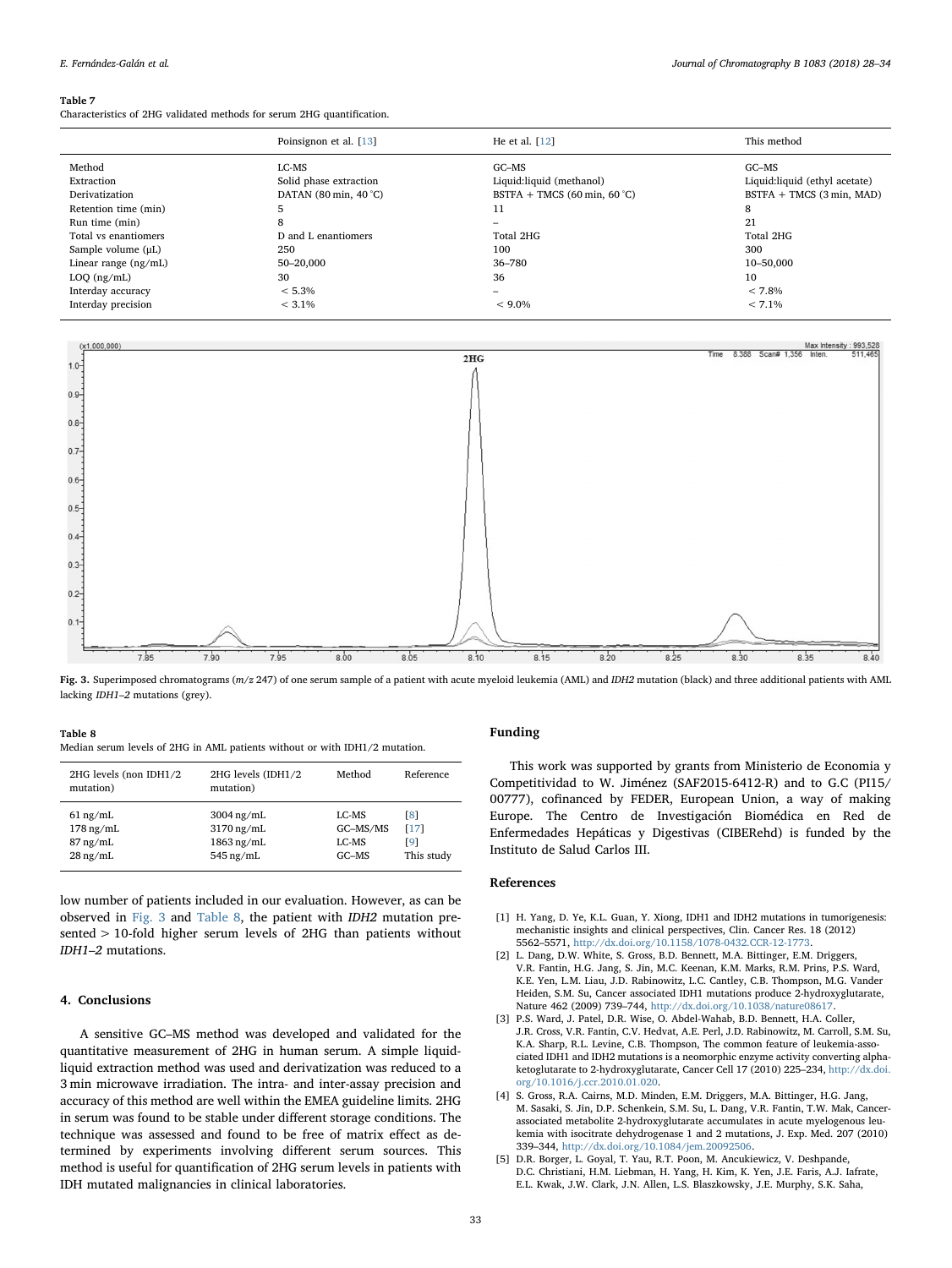#### <span id="page-5-5"></span>Table 7

Characteristics of 2HG validated methods for serum 2HG quantification.

|                         | Poinsignon et al. [13]                 | He et al. [12]                                | This method                   |
|-------------------------|----------------------------------------|-----------------------------------------------|-------------------------------|
| Method                  | LC-MS                                  | $G$ C $-MS$                                   | $G$ C $-MS$                   |
| Extraction              | Solid phase extraction                 | Liquid:liquid (methanol)                      | Liquid:liquid (ethyl acetate) |
| Derivatization          | DATAN $(80 \text{ min}, 40 \degree C)$ | BSTFA + TMCS $(60 \text{ min}, 60 \degree C)$ | BSTFA + TMCS (3 min, MAD)     |
| Retention time (min)    |                                        | 11                                            | 8                             |
| Run time (min)          | 8                                      | -                                             | 21                            |
| Total vs enantiomers    | D and L enantiomers                    | Total 2HG                                     | Total 2HG                     |
| Sample volume $(\mu L)$ | 250                                    | 100                                           | 300                           |
| Linear range (ng/mL)    | 50-20,000                              | 36-780                                        | 10-50.000                     |
| $LOQ$ (ng/mL)           | 30                                     | 36                                            | 10                            |
| Interday accuracy       | $< 5.3\%$                              | -                                             | $< 7.8\%$                     |
| Interday precision      | $< 3.1\%$                              | $< 9.0\%$                                     | $< 7.1\%$                     |

<span id="page-5-6"></span>

Fig. 3. Superimposed chromatograms (m/z 247) of one serum sample of a patient with acute myeloid leukemia (AML) and IDH2 mutation (black) and three additional patients with AML lacking IDH1–2 mutations (grey).

#### <span id="page-5-7"></span>Table 8

Median serum levels of 2HG in AML patients without or with IDH1/2 mutation.

| 2HG levels (non IDH1/2<br>mutation) | 2HG levels (IDH1/2<br>mutation) | Method      | Reference  |
|-------------------------------------|---------------------------------|-------------|------------|
| $61 \text{ ng/mL}$                  | $3004$ ng/mL                    | LC-MS       | [8]        |
| $178 \,\mathrm{ng/mL}$              | $3170$ ng/mL                    | GC-MS/MS    | [17]       |
| $87 \,\mathrm{ng/mL}$               | $1863$ ng/mL                    | LC-MS       | [9]        |
| $28 \,\mathrm{ng/mL}$               | 545 ng/mL                       | $G$ C $-MS$ | This study |

low number of patients included in our evaluation. However, as can be observed in [Fig. 3](#page-5-6) and [Table 8,](#page-5-7) the patient with IDH2 mutation presented > 10-fold higher serum levels of 2HG than patients without IDH1–2 mutations.

## 4. Conclusions

A sensitive GC–MS method was developed and validated for the quantitative measurement of 2HG in human serum. A simple liquidliquid extraction method was used and derivatization was reduced to a 3 min microwave irradiation. The intra- and inter-assay precision and accuracy of this method are well within the EMEA guideline limits. 2HG in serum was found to be stable under different storage conditions. The technique was assessed and found to be free of matrix effect as determined by experiments involving different serum sources. This method is useful for quantification of 2HG serum levels in patients with IDH mutated malignancies in clinical laboratories.

#### Funding

This work was supported by grants from Ministerio de Economia y Competitividad to W. Jiménez (SAF2015-6412-R) and to G.C (PI15/ 00777), cofinanced by FEDER, European Union, a way of making Europe. The Centro de Investigación Biomédica en Red de Enfermedades Hepáticas y Digestivas (CIBERehd) is funded by the Instituto de Salud Carlos III.

# References

- <span id="page-5-0"></span>[1] H. Yang, D. Ye, K.L. Guan, Y. Xiong, IDH1 and IDH2 mutations in tumorigenesis: mechanistic insights and clinical perspectives, Clin. Cancer Res. 18 (2012) 5562–5571, [http://dx.doi.org/10.1158/1078-0432.CCR-12-1773.](http://dx.doi.org/10.1158/1078-0432.CCR-12-1773)
- <span id="page-5-1"></span>[2] L. Dang, D.W. White, S. Gross, B.D. Bennett, M.A. Bittinger, E.M. Driggers, V.R. Fantin, H.G. Jang, S. Jin, M.C. Keenan, K.M. Marks, R.M. Prins, P.S. Ward, K.E. Yen, L.M. Liau, J.D. Rabinowitz, L.C. Cantley, C.B. Thompson, M.G. Vander Heiden, S.M. Su, Cancer associated IDH1 mutations produce 2-hydroxyglutarate, Nature 462 (2009) 739–744, [http://dx.doi.org/10.1038/nature08617.](http://dx.doi.org/10.1038/nature08617)
- <span id="page-5-2"></span>[3] P.S. Ward, J. Patel, D.R. Wise, O. Abdel-Wahab, B.D. Bennett, H.A. Coller, J.R. Cross, V.R. Fantin, C.V. Hedvat, A.E. Perl, J.D. Rabinowitz, M. Carroll, S.M. Su, K.A. Sharp, R.L. Levine, C.B. Thompson, The common feature of leukemia-associated IDH1 and IDH2 mutations is a neomorphic enzyme activity converting alphaketoglutarate to 2-hydroxyglutarate, Cancer Cell 17 (2010) 225–234, [http://dx.doi.](http://dx.doi.org/10.1016/j.ccr.2010.01.020) [org/10.1016/j.ccr.2010.01.020.](http://dx.doi.org/10.1016/j.ccr.2010.01.020)
- <span id="page-5-3"></span>[4] S. Gross, R.A. Cairns, M.D. Minden, E.M. Driggers, M.A. Bittinger, H.G. Jang, M. Sasaki, S. Jin, D.P. Schenkein, S.M. Su, L. Dang, V.R. Fantin, T.W. Mak, Cancerassociated metabolite 2-hydroxyglutarate accumulates in acute myelogenous leukemia with isocitrate dehydrogenase 1 and 2 mutations, J. Exp. Med. 207 (2010) 339–344, [http://dx.doi.org/10.1084/jem.20092506.](http://dx.doi.org/10.1084/jem.20092506)
- <span id="page-5-4"></span>[5] D.R. Borger, L. Goyal, T. Yau, R.T. Poon, M. Ancukiewicz, V. Deshpande, D.C. Christiani, H.M. Liebman, H. Yang, H. Kim, K. Yen, J.E. Faris, A.J. Iafrate, E.L. Kwak, J.W. Clark, J.N. Allen, L.S. Blaszkowsky, J.E. Murphy, S.K. Saha,